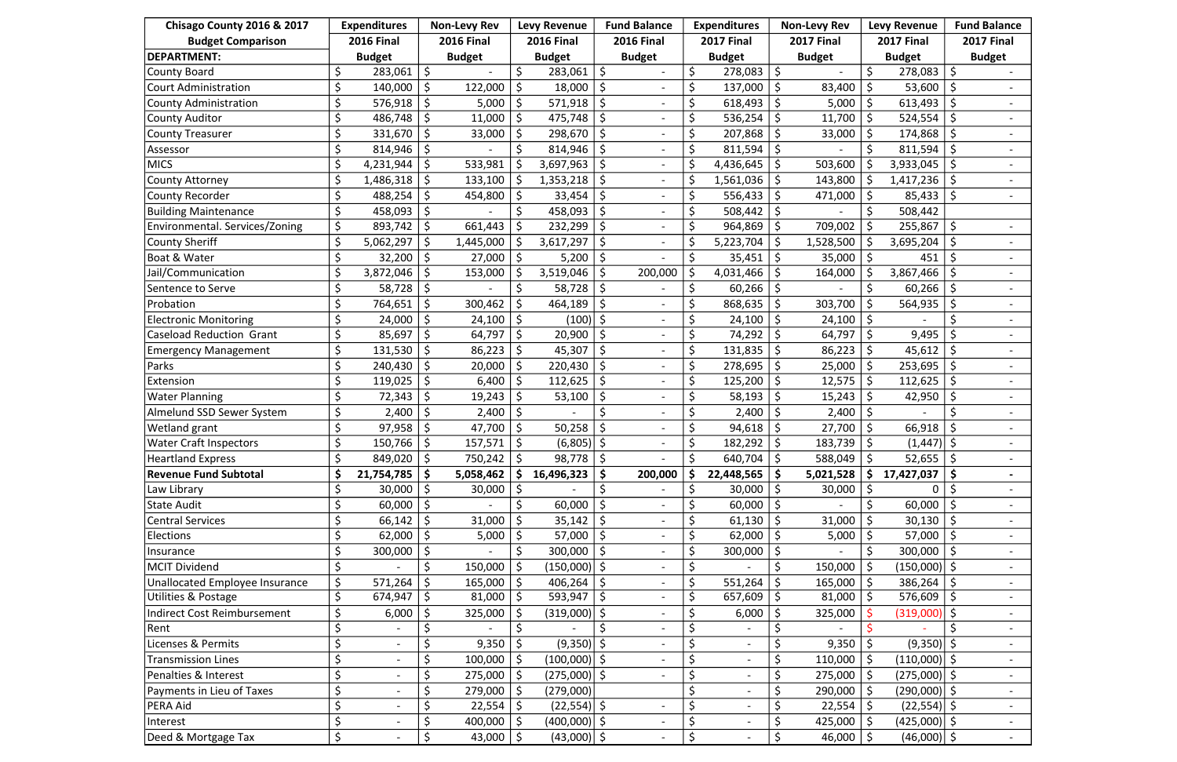| Chisago County 2016 & 2017         | <b>Expenditures</b>             |            | <b>Non-Levy Rev</b> |                   | <b>Levy Revenue</b> |                  | <b>Fund Balance</b> |                          | <b>Expenditures</b> |            | <b>Non-Levy Rev</b> |           | <b>Levy Revenue</b> |                  | <b>Fund Balance</b> |                          |
|------------------------------------|---------------------------------|------------|---------------------|-------------------|---------------------|------------------|---------------------|--------------------------|---------------------|------------|---------------------|-----------|---------------------|------------------|---------------------|--------------------------|
| <b>Budget Comparison</b>           | <b>2016 Final</b>               |            | <b>2016 Final</b>   |                   | <b>2016 Final</b>   |                  | <b>2016 Final</b>   |                          | <b>2017 Final</b>   |            | <b>2017 Final</b>   |           | <b>2017 Final</b>   |                  | <b>2017 Final</b>   |                          |
| <b>DEPARTMENT:</b>                 | <b>Budget</b>                   |            | <b>Budget</b>       |                   | <b>Budget</b>       |                  | <b>Budget</b>       |                          | <b>Budget</b>       |            | <b>Budget</b>       |           | <b>Budget</b>       |                  | <b>Budget</b>       |                          |
| <b>County Board</b>                | \$                              | 283,061    | \$                  |                   | \$                  | 283,061          | \$                  |                          | \$                  | 278,083    | \$                  |           | \$                  | 278,083          |                     |                          |
| <b>Court Administration</b>        | \$                              | 140,000    | \$                  | 122,000           | \$                  | 18,000           | \$                  |                          | \$                  | 137,000    | \$                  | 83,400    | \$                  | 53,600           | \$                  |                          |
| <b>County Administration</b>       | \$                              | 576,918    |                     | 5,000             | \$                  | 571,918          | S                   |                          |                     | 618,493    | \$                  | 5,000     |                     | 613,493          |                     |                          |
| <b>County Auditor</b>              | \$                              | 486,748    |                     | 11,000            | \$                  | 475,748          |                     |                          |                     | 536,254    | \$                  | 11,700    |                     | 524,554          |                     |                          |
| <b>County Treasurer</b>            | \$                              | 331,670    | \$                  | 33,000            | \$                  | 298,670          | \$                  |                          | \$                  | 207,868    | \$                  | 33,000    | \$                  | 174,868          | \$                  |                          |
| Assessor                           | \$                              | 814,946    |                     |                   |                     | 814,946          | Ś                   |                          |                     | 811,594    | \$                  |           |                     | 811,594          |                     |                          |
| <b>MICS</b>                        | \$                              | 4,231,944  |                     | 533,981           |                     | 3,697,963        |                     |                          |                     | 4,436,645  | \$                  | 503,600   |                     | 3,933,045        |                     |                          |
| <b>County Attorney</b>             | \$                              | 1,486,318  | \$                  | 133,100           | -\$                 | 1,353,218        | \$                  |                          | \$                  | 1,561,036  | \$                  | 143,800   | \$                  | 1,417,236        |                     |                          |
| <b>County Recorder</b>             | \$                              | 488,254    |                     | 454,800           | \$                  | 33,454           | \$                  |                          |                     | 556,433    | \$                  | 471,000   | Ś.                  | 85,433           |                     |                          |
| <b>Building Maintenance</b>        | \$                              | 458,093    |                     |                   |                     | 458,093          |                     |                          |                     | 508,442    | \$                  |           |                     | 508,442          |                     |                          |
| Environmental. Services/Zoning     | \$                              | 893,742    | \$                  | 661,443           | \$                  | 232,299          |                     |                          |                     | 964,869    | \$                  | 709,002   | \$                  | 255,867          | \$                  |                          |
| <b>County Sheriff</b>              | \$                              | 5,062,297  |                     | 1,445,000         |                     | 3,617,297        | Ś                   |                          |                     | 5,223,704  | \$                  | 1,528,500 |                     | 3,695,204        |                     |                          |
| Boat & Water                       | \$                              | 32,200     | \$                  | 27,000            | \$                  | 5,200            | \$                  |                          |                     | 35,451     | \$                  | 35,000    | \$                  | 451              |                     |                          |
| Jail/Communication                 | \$                              | 3,872,046  |                     | 153,000           | \$                  | 3,519,046        |                     | 200,000                  | \$                  | 4,031,466  | \$                  | 164,000   |                     | 3,867,466        |                     |                          |
| Sentence to Serve                  | \$                              | 58,728     |                     |                   |                     | 58,728           |                     |                          |                     | 60,266     | $\zeta$             |           |                     | 60,266           |                     |                          |
| Probation                          | \$                              | 764,651    |                     | 300,462           |                     | 464,189          |                     |                          |                     | 868,635    | \$                  | 303,700   |                     | 564,935          |                     |                          |
| <b>Electronic Monitoring</b>       | \$                              | 24,000     | \$                  | 24,100            | -\$                 | $(100)$   \$     |                     |                          |                     | 24,100     | $\zeta$             | 24,100    | \$                  |                  |                     |                          |
| <b>Caseload Reduction Grant</b>    | \$                              | 85,697     |                     | 64,797            | \$                  | 20,900           | S                   |                          |                     | 74,292     | \$                  | 64,797    | \$                  | 9,495            |                     |                          |
| <b>Emergency Management</b>        | \$                              | 131,530    |                     | 86,223            | $\zeta$             | 45,307           |                     |                          |                     | 131,835    | \$                  | 86,223    |                     | 45,612           |                     |                          |
| Parks                              | \$                              | 240,430    | \$                  | 20,000            | \$                  | 220,430          | \$                  |                          |                     | 278,695    | \$                  | 25,000    | \$                  | 253,695          |                     |                          |
| Extension                          | \$                              | 119,025    |                     | 6,400             | \$                  | 112,625          | \$                  |                          |                     | 125,200    | \$                  | 12,575    |                     | 112,625          |                     |                          |
| <b>Water Planning</b>              | \$                              | 72,343     |                     | 19,243            |                     | 53,100           | S                   |                          |                     | 58,193     | \$                  | 15,243    |                     | 42,950           |                     |                          |
| Almelund SSD Sewer System          | \$                              | 2,400      |                     | 2,400             | \$                  |                  |                     |                          |                     | 2,400      | \$                  | 2,400     |                     |                  |                     |                          |
| <b>Wetland grant</b>               | \$                              | 97,958     | \$                  | 47,700            | -\$                 | 50,258           |                     |                          |                     | 94,618     | \$                  | 27,700    | \$                  | 66,918           |                     |                          |
| <b>Water Craft Inspectors</b>      | $\mathsf{\dot{S}}$              | 150,766    |                     | 157,571           | Ś.                  | $(6,805)$ \$     |                     |                          |                     | 182,292    | $\mathsf{\dot{S}}$  | 183,739   | $\mathsf{\dot{S}}$  | $(1,447)$ \$     |                     |                          |
| <b>Heartland Express</b>           | \$                              | 849,020    | $\zeta$             | 750,242           | $\zeta$             | $98,778$   \$    |                     |                          | \$                  | 640,704    | $\zeta$             | 588,049   | \$                  | 52,655           |                     |                          |
| <b>Revenue Fund Subtotal</b>       | \$                              | 21,754,785 | \$                  | 5,058,462         | \$                  | 16,496,323       | \$                  | 200,000                  |                     | 22,448,565 | \$                  | 5,021,528 | \$                  | 17,427,037       | \$                  |                          |
| Law Library                        | \$                              | 30,000     |                     | 30,000            | S                   |                  |                     |                          |                     | 30,000     | Ŝ.                  | 30,000    |                     |                  |                     |                          |
| <b>State Audit</b>                 | \$                              | 60,000     |                     |                   |                     | 60,000           |                     |                          |                     | 60,000     |                     |           |                     | 60,000           |                     |                          |
| <b>Central Services</b>            | \$                              | 66,142     | \$                  | 31,000            |                     | 35,142           |                     |                          |                     | 61,130     | \$                  | 31,000    |                     | 30,130           | Ŝ.                  |                          |
| <b>Elections</b>                   | \$                              | 62,000     |                     | 5,000             | -Ś                  | 57,000           | \$                  |                          |                     | 62,000     | S.                  | 5,000     |                     | 57,000           |                     |                          |
| Insurance                          | \$                              | 300,000    |                     |                   |                     | 300,000          | \$                  |                          |                     | 300,000    |                     |           |                     | 300,000          |                     |                          |
| <b>MCIT Dividend</b>               | \$                              |            | \$                  | 150,000           |                     | $(150,000)$   \$ |                     |                          |                     |            | \$                  | 150,000   | \$                  | (150,000)  \$    |                     | $\overline{\phantom{0}}$ |
| Unallocated Employee Insurance     | \$                              | 571,264    |                     | 165,000           | -\$                 | $406,264$   \$   |                     |                          |                     | 551,264    | \$                  | 165,000   |                     | 386,264          |                     | $\overline{\phantom{0}}$ |
| Utilities & Postage                | $\overline{\varsigma}$          | 674,947    |                     | $81,000$   \$     |                     | $593,947$   \$   |                     |                          |                     | 657,609    | \$                  | 81,000    |                     | 576,609          |                     |                          |
| <b>Indirect Cost Reimbursement</b> | \$                              | 6,000      | \$                  | 325,000           |                     | $(319,000)$ \$   |                     |                          |                     | 6,000      | \$                  | 325,000   |                     | (319,000)        | $\zeta$             | $\overline{\phantom{0}}$ |
| Rent                               | \$                              |            |                     |                   |                     |                  |                     |                          |                     |            |                     |           |                     |                  |                     |                          |
| Licenses & Permits                 | \$                              |            |                     | 9,350             | \$                  | $(9,350)$ \$     |                     |                          |                     |            |                     | 9,350     |                     | (9,350)          |                     |                          |
| <b>Transmission Lines</b>          | \$                              |            | \$                  | 100,000           | -\$                 | $(100,000)$ \$   |                     |                          | \$                  |            |                     | 110,000   |                     | $(110,000)$ \$   |                     |                          |
| Penalties & Interest               | \$                              |            |                     | $275,000$   \$    |                     | $(275,000)$ \$   |                     |                          |                     |            |                     | 275,000   | \$                  | $(275,000)$   \$ |                     | $\overline{\phantom{a}}$ |
| Payments in Lieu of Taxes          | \$                              |            |                     | 279,000           |                     | (279,000)        |                     |                          |                     |            |                     | 290,000   |                     | (290,000)        | -\$                 |                          |
| <b>PERA Aid</b>                    | \$                              |            |                     | $22,554$   \$     |                     | $(22,554)$ \$    |                     |                          |                     |            |                     | 22,554    |                     | $(22,554)$ \$    |                     |                          |
| Interest                           | \$                              |            |                     | $400,000$   \$    |                     | (400,000)  \$    |                     |                          |                     |            |                     | 425,000   |                     | (425,000)  \$    |                     | $\sim$                   |
| Deed & Mortgage Tax                | $\overline{\boldsymbol{\zeta}}$ |            | \$                  | 43,000 $\vert$ \$ |                     | $(43,000)$ \$    |                     | $\overline{\phantom{a}}$ | \$                  |            | $\zeta$             | 46,000    |                     | $(46,000)$ \$    |                     | $\sim$                   |